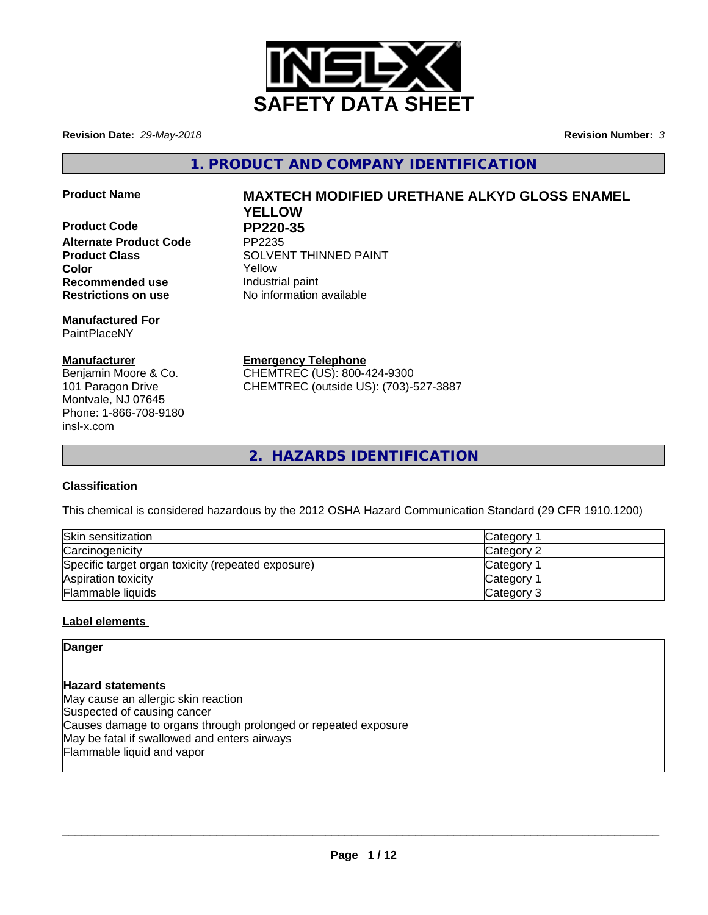

**Revision Date:** *29-May-2018* **Revision Number:** *3*

**1. PRODUCT AND COMPANY IDENTIFICATION**

**Product Code PP220-35<br>Alternate Product Code PP2235 Alternate Product Code Recommended use Industrial paint Restrictions on use** No information available

**Manufactured For** PaintPlaceNY

# **Manufacturer**

Benjamin Moore & Co. 101 Paragon Drive Montvale, NJ 07645 Phone: 1-866-708-9180 insl-x.com

# **Product Name MAXTECH MODIFIED URETHANE ALKYD GLOSS ENAMEL YELLOW**

**Product Class SOLVENT THINNED PAINT Color** Yellow

> **Emergency Telephone** CHEMTREC (US): 800-424-9300

CHEMTREC (outside US): (703)-527-3887

**2. HAZARDS IDENTIFICATION**

# **Classification**

This chemical is considered hazardous by the 2012 OSHA Hazard Communication Standard (29 CFR 1910.1200)

| Skin sensitization                                 | Category        |
|----------------------------------------------------|-----------------|
| Carcinogenicity                                    | Category 2      |
| Specific target organ toxicity (repeated exposure) | <b>Category</b> |
| Aspiration toxicity                                | <b>Category</b> |
| Flammable liquids                                  | Category 3      |

# **Label elements**

**Danger**

**Hazard statements** May cause an allergic skin reaction Suspected of causing cancer Causes damage to organs through prolonged or repeated exposure May be fatal if swallowed and enters airways Flammable liquid and vapor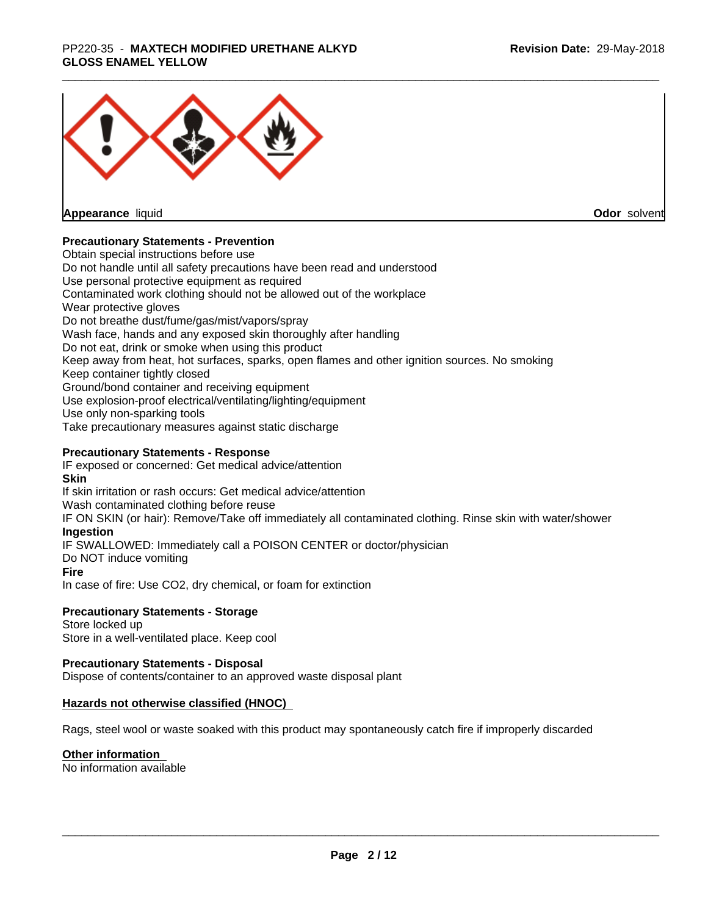# \_\_\_\_\_\_\_\_\_\_\_\_\_\_\_\_\_\_\_\_\_\_\_\_\_\_\_\_\_\_\_\_\_\_\_\_\_\_\_\_\_\_\_\_\_\_\_\_\_\_\_\_\_\_\_\_\_\_\_\_\_\_\_\_\_\_\_\_\_\_\_\_\_\_\_\_\_\_\_\_\_\_\_\_\_\_\_\_\_\_\_\_\_ PP220-35 - **MAXTECH MODIFIED URETHANE ALKYD GLOSS ENAMEL YELLOW**



**Appearance** liquid

**Odor** solvent

# **Precautionary Statements - Prevention**

Obtain special instructions before use Do not handle until all safety precautions have been read and understood Use personal protective equipment as required Contaminated work clothing should not be allowed out of the workplace Wear protective gloves Do not breathe dust/fume/gas/mist/vapors/spray Wash face, hands and any exposed skin thoroughly after handling Do not eat, drink or smoke when using this product Keep away from heat, hot surfaces, sparks, open flames and other ignition sources. No smoking Keep container tightly closed Ground/bond container and receiving equipment Use explosion-proof electrical/ventilating/lighting/equipment Use only non-sparking tools Take precautionary measures against static discharge

# **Precautionary Statements - Response**

IF exposed or concerned: Get medical advice/attention **Skin** If skin irritation or rash occurs: Get medical advice/attention Wash contaminated clothing before reuse IF ON SKIN (or hair): Remove/Take off immediately all contaminated clothing. Rinse skin with water/shower **Ingestion** IF SWALLOWED: Immediately call a POISON CENTER or doctor/physician Do NOT induce vomiting **Fire** In case of fire: Use CO2, dry chemical, or foam for extinction

## **Precautionary Statements - Storage**

Store locked up Store in a well-ventilated place. Keep cool

## **Precautionary Statements - Disposal**

Dispose of contents/container to an approved waste disposal plant

## **Hazards not otherwise classified (HNOC)**

Rags, steel wool or waste soaked with this product may spontaneously catch fire if improperly discarded

## **Other information**

No information available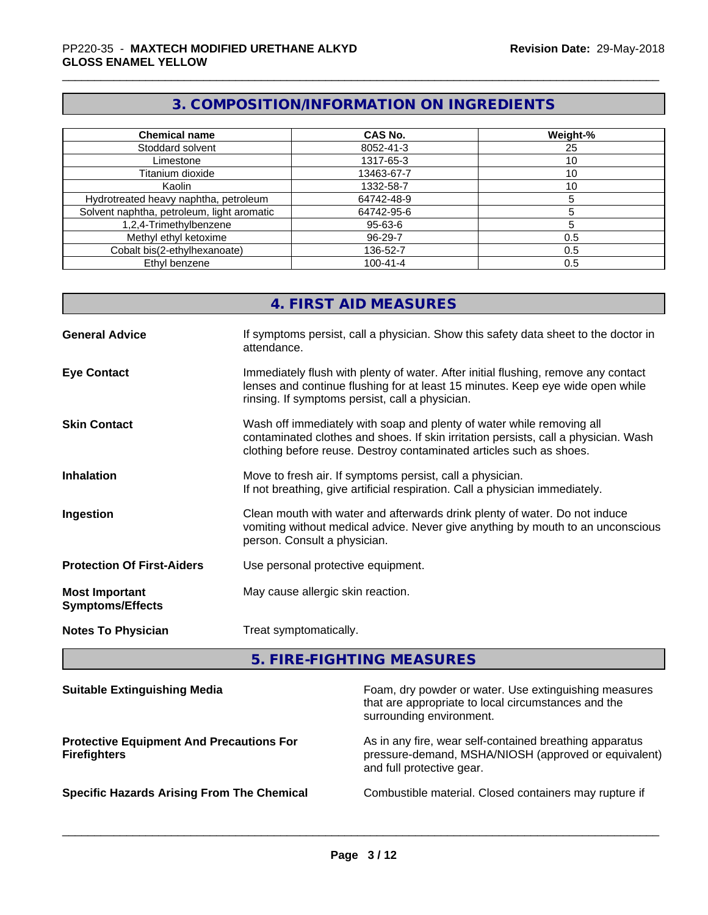# **3. COMPOSITION/INFORMATION ON INGREDIENTS**

| <b>Chemical name</b>                       | <b>CAS No.</b> | Weight-% |
|--------------------------------------------|----------------|----------|
| Stoddard solvent                           | 8052-41-3      | 25       |
| Limestone                                  | 1317-65-3      | 10       |
| Titanium dioxide                           | 13463-67-7     | 10       |
| Kaolin                                     | 1332-58-7      | 10       |
| Hydrotreated heavy naphtha, petroleum      | 64742-48-9     |          |
| Solvent naphtha, petroleum, light aromatic | 64742-95-6     |          |
| 1,2,4-Trimethylbenzene                     | 95-63-6        |          |
| Methyl ethyl ketoxime                      | 96-29-7        | 0.5      |
| Cobalt bis(2-ethylhexanoate)               | 136-52-7       | 0.5      |
| Ethyl benzene                              | $100 - 41 - 4$ | 0.5      |

|                                                  | 4. FIRST AID MEASURES                                                                                                                                                                                                               |
|--------------------------------------------------|-------------------------------------------------------------------------------------------------------------------------------------------------------------------------------------------------------------------------------------|
| <b>General Advice</b>                            | If symptoms persist, call a physician. Show this safety data sheet to the doctor in<br>attendance.                                                                                                                                  |
| <b>Eye Contact</b>                               | Immediately flush with plenty of water. After initial flushing, remove any contact<br>lenses and continue flushing for at least 15 minutes. Keep eye wide open while<br>rinsing. If symptoms persist, call a physician.             |
| <b>Skin Contact</b>                              | Wash off immediately with soap and plenty of water while removing all<br>contaminated clothes and shoes. If skin irritation persists, call a physician. Wash<br>clothing before reuse. Destroy contaminated articles such as shoes. |
| <b>Inhalation</b>                                | Move to fresh air. If symptoms persist, call a physician.<br>If not breathing, give artificial respiration. Call a physician immediately.                                                                                           |
| Ingestion                                        | Clean mouth with water and afterwards drink plenty of water. Do not induce<br>vomiting without medical advice. Never give anything by mouth to an unconscious<br>person. Consult a physician.                                       |
| <b>Protection Of First-Aiders</b>                | Use personal protective equipment.                                                                                                                                                                                                  |
| <b>Most Important</b><br><b>Symptoms/Effects</b> | May cause allergic skin reaction.                                                                                                                                                                                                   |
| <b>Notes To Physician</b>                        | Treat symptomatically.                                                                                                                                                                                                              |
|                                                  |                                                                                                                                                                                                                                     |

**5. FIRE-FIGHTING MEASURES**

| <b>Suitable Extinguishing Media</b>                                    | Foam, dry powder or water. Use extinguishing measures<br>that are appropriate to local circumstances and the<br>surrounding environment.     |
|------------------------------------------------------------------------|----------------------------------------------------------------------------------------------------------------------------------------------|
| <b>Protective Equipment And Precautions For</b><br><b>Firefighters</b> | As in any fire, wear self-contained breathing apparatus<br>pressure-demand, MSHA/NIOSH (approved or equivalent)<br>and full protective gear. |
| <b>Specific Hazards Arising From The Chemical</b>                      | Combustible material. Closed containers may rupture if                                                                                       |
|                                                                        |                                                                                                                                              |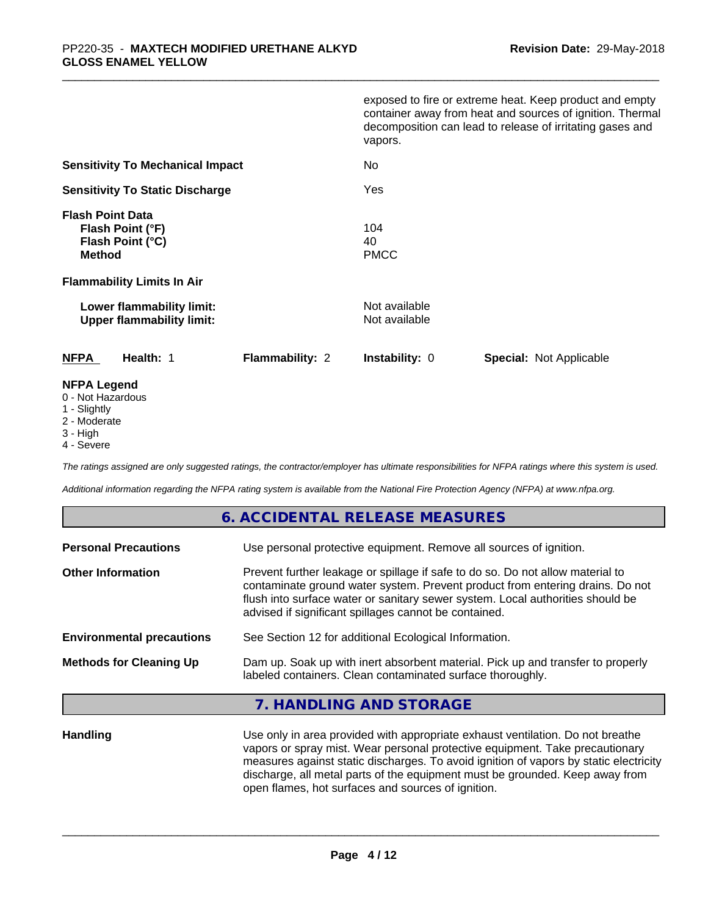|                                                                                  | exposed to fire or extreme heat. Keep product and empty<br>container away from heat and sources of ignition. Thermal<br>decomposition can lead to release of irritating gases and<br>vapors. |
|----------------------------------------------------------------------------------|----------------------------------------------------------------------------------------------------------------------------------------------------------------------------------------------|
| <b>Sensitivity To Mechanical Impact</b>                                          | No.                                                                                                                                                                                          |
| <b>Sensitivity To Static Discharge</b>                                           | Yes                                                                                                                                                                                          |
| <b>Flash Point Data</b><br>Flash Point (°F)<br>Flash Point (°C)<br><b>Method</b> | 104<br>40<br><b>PMCC</b>                                                                                                                                                                     |
| <b>Flammability Limits In Air</b>                                                |                                                                                                                                                                                              |
| Lower flammability limit:<br><b>Upper flammability limit:</b>                    | Not available<br>Not available                                                                                                                                                               |
| <b>NFPA</b><br>Health: 1<br><b>Flammability: 2</b>                               | <b>Instability: 0</b><br><b>Special: Not Applicable</b>                                                                                                                                      |
| <b>NFPA Legend</b>                                                               |                                                                                                                                                                                              |

- 0 Not Hazardous
- 1 Slightly
- 2 Moderate
- 3 High
- 4 Severe

*The ratings assigned are only suggested ratings, the contractor/employer has ultimate responsibilities for NFPA ratings where this system is used.*

*Additional information regarding the NFPA rating system is available from the National Fire Protection Agency (NFPA) at www.nfpa.org.*

# **6. ACCIDENTAL RELEASE MEASURES**

| <b>Personal Precautions</b>      | Use personal protective equipment. Remove all sources of ignition.                                                                                                                                                                                                                                         |
|----------------------------------|------------------------------------------------------------------------------------------------------------------------------------------------------------------------------------------------------------------------------------------------------------------------------------------------------------|
| <b>Other Information</b>         | Prevent further leakage or spillage if safe to do so. Do not allow material to<br>contaminate ground water system. Prevent product from entering drains. Do not<br>flush into surface water or sanitary sewer system. Local authorities should be<br>advised if significant spillages cannot be contained. |
| <b>Environmental precautions</b> | See Section 12 for additional Ecological Information.                                                                                                                                                                                                                                                      |
| <b>Methods for Cleaning Up</b>   | Dam up. Soak up with inert absorbent material. Pick up and transfer to properly<br>labeled containers. Clean contaminated surface thoroughly.                                                                                                                                                              |

# **7. HANDLING AND STORAGE**

**Handling** Use only in area provided with appropriate exhaust ventilation. Do not breathe vapors or spray mist. Wear personal protective equipment. Take precautionary measures against static discharges. To avoid ignition of vapors by static electricity discharge, all metal parts of the equipment must be grounded. Keep away from open flames, hot surfaces and sources of ignition.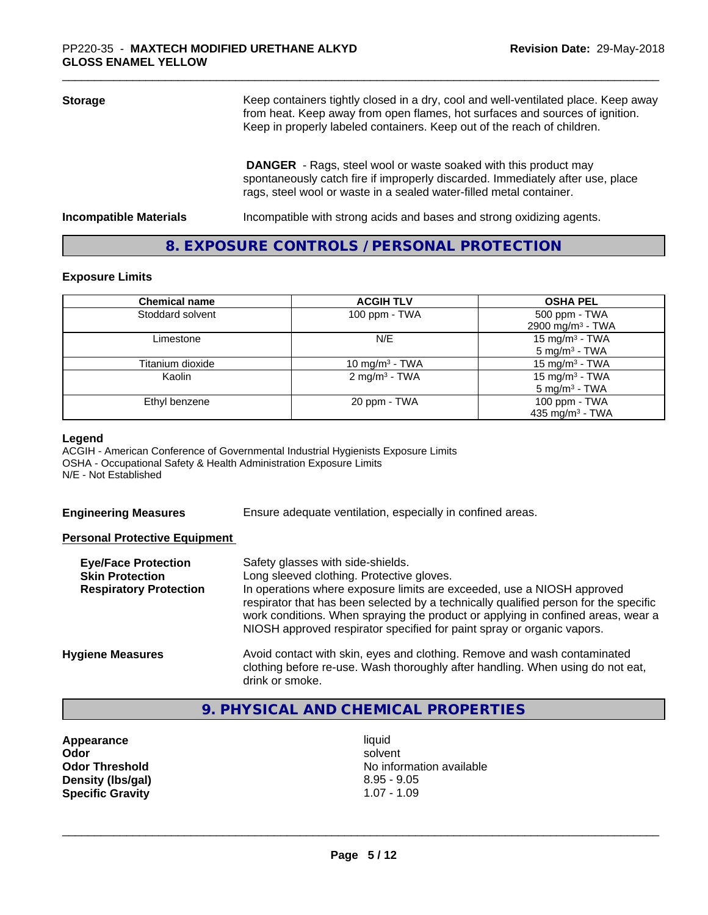| <b>Storage</b>                | Keep containers tightly closed in a dry, cool and well-ventilated place. Keep away<br>from heat. Keep away from open flames, hot surfaces and sources of ignition.<br>Keep in properly labeled containers. Keep out of the reach of children. |  |
|-------------------------------|-----------------------------------------------------------------------------------------------------------------------------------------------------------------------------------------------------------------------------------------------|--|
|                               | <b>DANGER</b> - Rags, steel wool or waste soaked with this product may<br>spontaneously catch fire if improperly discarded. Immediately after use, place<br>rags, steel wool or waste in a sealed water-filled metal container.               |  |
| <b>Incompatible Materials</b> | Incompatible with strong acids and bases and strong oxidizing agents.                                                                                                                                                                         |  |

# **8. EXPOSURE CONTROLS / PERSONAL PROTECTION**

#### **Exposure Limits**

| <b>Chemical name</b> | <b>ACGIH TLV</b>          | <b>OSHA PEL</b>                                        |
|----------------------|---------------------------|--------------------------------------------------------|
| Stoddard solvent     | 100 ppm - TWA             | 500 ppm - TWA<br>2900 mg/m <sup>3</sup> - TWA          |
| Limestone            | N/E                       | 15 mg/m <sup>3</sup> - TWA<br>$5 \text{ mg/m}^3$ - TWA |
| Titanium dioxide     | 10 mg/m $3$ - TWA         | 15 mg/m $3$ - TWA                                      |
| Kaolin               | 2 mg/m <sup>3</sup> - TWA | 15 mg/m $3$ - TWA<br>$5 \text{ mg/m}^3$ - TWA          |
| Ethyl benzene        | 20 ppm - TWA              | 100 ppm - TWA<br>435 mg/m <sup>3</sup> - TWA           |

#### **Legend**

ACGIH - American Conference of Governmental Industrial Hygienists Exposure Limits OSHA - Occupational Safety & Health Administration Exposure Limits N/E - Not Established

**Engineering Measures** Ensure adequate ventilation, especially in confined areas.

## **Personal Protective Equipment**

| <b>Eye/Face Protection</b><br><b>Skin Protection</b> | Safety glasses with side-shields.<br>Long sleeved clothing. Protective gloves.<br>In operations where exposure limits are exceeded, use a NIOSH approved                                                                                           |
|------------------------------------------------------|----------------------------------------------------------------------------------------------------------------------------------------------------------------------------------------------------------------------------------------------------|
| <b>Respiratory Protection</b>                        | respirator that has been selected by a technically qualified person for the specific<br>work conditions. When spraying the product or applying in confined areas, wear a<br>NIOSH approved respirator specified for paint spray or organic vapors. |
| <b>Hygiene Measures</b>                              | Avoid contact with skin, eyes and clothing. Remove and wash contaminated<br>clothing before re-use. Wash thoroughly after handling. When using do not eat,<br>drink or smoke.                                                                      |

# **9. PHYSICAL AND CHEMICAL PROPERTIES**

**Appearance** liquid **Density (lbs/gal) Specific Gravity** 1.07 - 1.09

**Odor** solvent **Odor Threshold**<br> **Density (Ibs/aal)**<br> **Density (Ibs/aal)**<br> **Density (Ibs/aal)**<br> **Density (Ibs/aal)**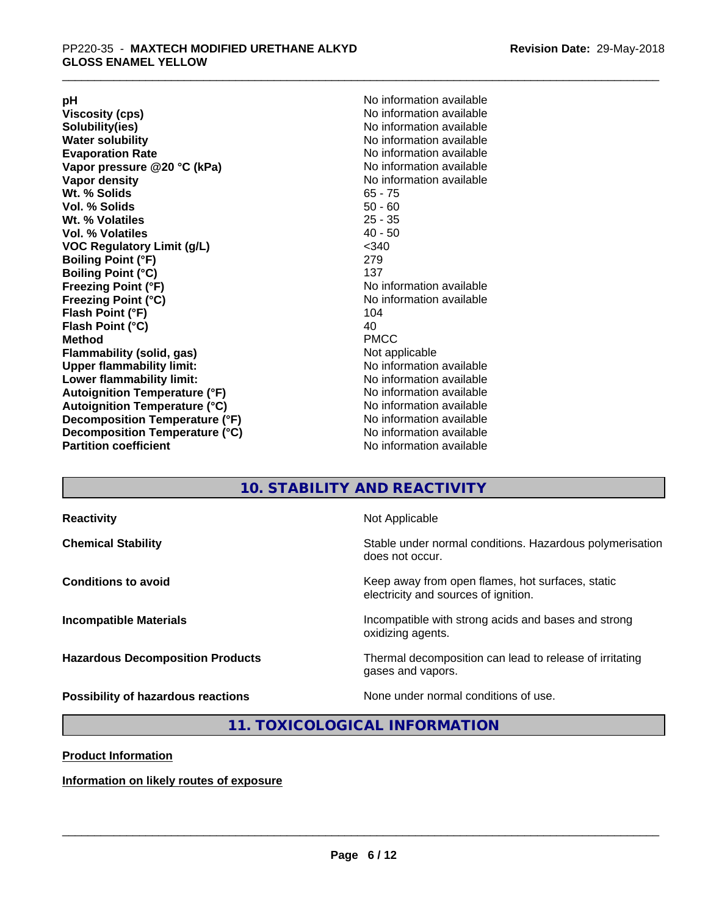**Viscosity (cps)** <br> **Viscosity (cps)** No information available<br>
No information available<br>
No information available **Water solubility**<br> **Evaporation Rate**<br> **Evaporation Rate**<br> **Evaporation Rate Vapor** pressure @20 °C (kPa) **Vapor density No information available Wt. % Solids** 65 - 75 **Vol. % Solids Wt. % Volatiles** 25 - 35 **Vol. % Volatiles** 40 - 50 **VOC Regulatory Limit (g/L)** <340 **Boiling Point (°F)** 279 **Boiling Point (°C)**<br>Freezing Point (°F) **Freezing Point (°C)**<br> **Flash Point (°F)**<br> **Flash Point (°F)**<br> **Point (°F)**<br> **Point (°F)**<br> **Point (°F)**<br> **Point (°F) Flash Point (°F) Flash Point (°C)** 40 **Method** PMCC **Flammability (solid, gas)** Not applicable **Upper flammability limit:** No information available **Lower flammability limit:** No information available **Autoignition Temperature (°F)** No information available **Autoignition Temperature (°C)** No information available **Decomposition Temperature (°F)**<br> **Decomposition Temperature (°C)** No information available<br>
No information available **Decomposition Temperature (°C)**<br>Partition coefficient

**pH**<br>
Viscosity (cps) The Contract of the Contract of No information available<br>
No information available **Solubility(ies)** No information available No information available<br>No information available **No information available No information available** 

# **10. STABILITY AND REACTIVITY**

| <b>Reactivity</b>                         | Not Applicable                                                                           |
|-------------------------------------------|------------------------------------------------------------------------------------------|
| <b>Chemical Stability</b>                 | Stable under normal conditions. Hazardous polymerisation<br>does not occur.              |
| <b>Conditions to avoid</b>                | Keep away from open flames, hot surfaces, static<br>electricity and sources of ignition. |
| <b>Incompatible Materials</b>             | Incompatible with strong acids and bases and strong<br>oxidizing agents.                 |
| <b>Hazardous Decomposition Products</b>   | Thermal decomposition can lead to release of irritating<br>gases and vapors.             |
| <b>Possibility of hazardous reactions</b> | None under normal conditions of use.                                                     |

# **11. TOXICOLOGICAL INFORMATION**

**Product Information**

**Information on likely routes of exposure**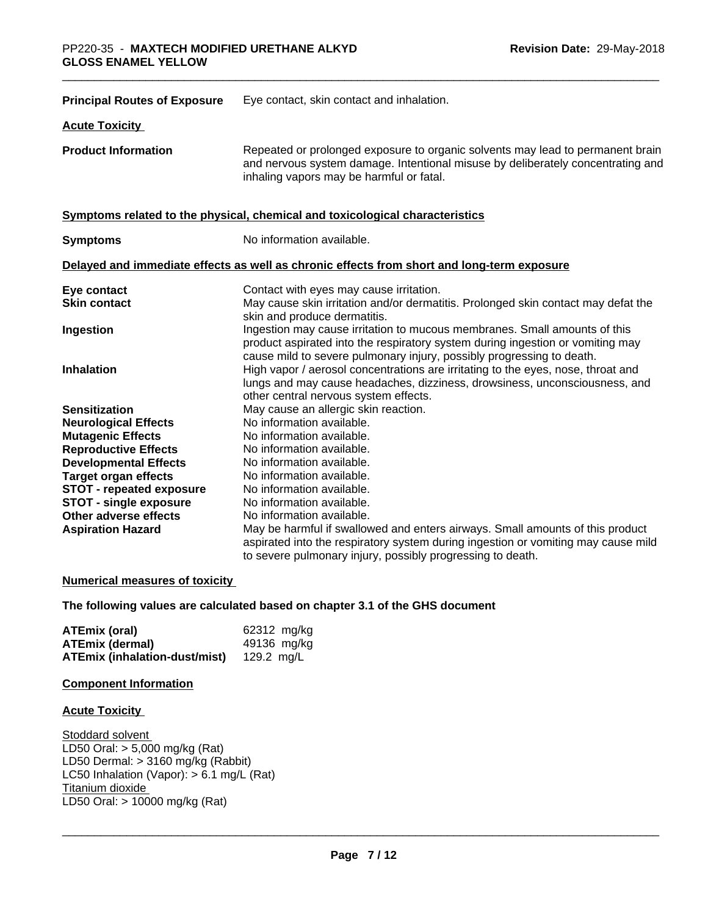| <b>Principal Routes of Exposure</b> | Eye contact, skin contact and inhalation.                                                                                                                                                                                            |
|-------------------------------------|--------------------------------------------------------------------------------------------------------------------------------------------------------------------------------------------------------------------------------------|
| <b>Acute Toxicity</b>               |                                                                                                                                                                                                                                      |
| <b>Product Information</b>          | Repeated or prolonged exposure to organic solvents may lead to permanent brain<br>and nervous system damage. Intentional misuse by deliberately concentrating and<br>inhaling vapors may be harmful or fatal.                        |
|                                     | Symptoms related to the physical, chemical and toxicological characteristics                                                                                                                                                         |
| <b>Symptoms</b>                     | No information available.                                                                                                                                                                                                            |
|                                     | Delayed and immediate effects as well as chronic effects from short and long-term exposure                                                                                                                                           |
| Eye contact                         | Contact with eyes may cause irritation.                                                                                                                                                                                              |
| <b>Skin contact</b>                 | May cause skin irritation and/or dermatitis. Prolonged skin contact may defat the<br>skin and produce dermatitis.                                                                                                                    |
| Ingestion                           | Ingestion may cause irritation to mucous membranes. Small amounts of this<br>product aspirated into the respiratory system during ingestion or vomiting may<br>cause mild to severe pulmonary injury, possibly progressing to death. |
| <b>Inhalation</b>                   | High vapor / aerosol concentrations are irritating to the eyes, nose, throat and<br>lungs and may cause headaches, dizziness, drowsiness, unconsciousness, and<br>other central nervous system effects.                              |
| <b>Sensitization</b>                | May cause an allergic skin reaction.                                                                                                                                                                                                 |
| <b>Neurological Effects</b>         | No information available.                                                                                                                                                                                                            |
| <b>Mutagenic Effects</b>            | No information available.                                                                                                                                                                                                            |
| <b>Reproductive Effects</b>         | No information available.                                                                                                                                                                                                            |
| <b>Developmental Effects</b>        | No information available.                                                                                                                                                                                                            |
| <b>Target organ effects</b>         | No information available.                                                                                                                                                                                                            |
| STOT - repeated exposure            | No information available.                                                                                                                                                                                                            |
| <b>STOT - single exposure</b>       | No information available.                                                                                                                                                                                                            |
| Other adverse effects               | No information available.                                                                                                                                                                                                            |
| <b>Aspiration Hazard</b>            | May be harmful if swallowed and enters airways. Small amounts of this product<br>aspirated into the respiratory system during ingestion or vomiting may cause mild                                                                   |
|                                     | to severe pulmonary injury, possibly progressing to death.                                                                                                                                                                           |

# **Numerical measures of toxicity**

### **The following values are calculated based on chapter 3.1 of the GHS document**

| ATEmix (oral)                 | 62312 mg/kg |
|-------------------------------|-------------|
| <b>ATEmix (dermal)</b>        | 49136 mg/kg |
| ATEmix (inhalation-dust/mist) | 129.2 ma/L  |

# **Component Information**

# **Acute Toxicity**

Stoddard solvent LD50 Oral: > 5,000 mg/kg (Rat) LD50 Dermal: > 3160 mg/kg (Rabbit) LC50 Inhalation (Vapor): > 6.1 mg/L (Rat) Titanium dioxide LD50 Oral: > 10000 mg/kg (Rat)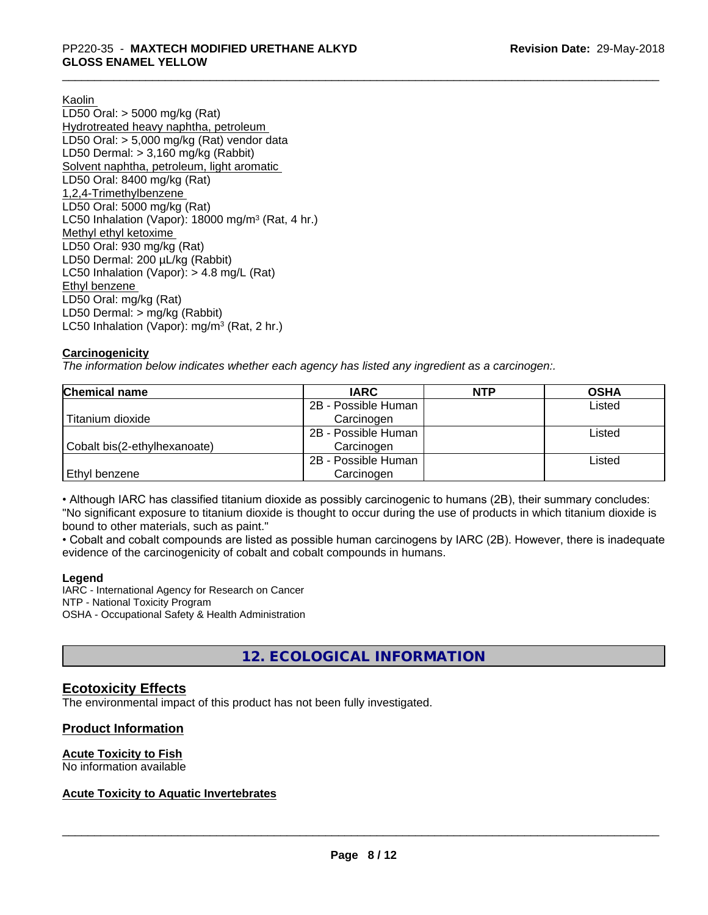Kaolin

LD50 Oral: > 5000 mg/kg (Rat) Hydrotreated heavy naphtha, petroleum LD50 Oral: > 5,000 mg/kg (Rat) vendor data LD50 Dermal: > 3,160 mg/kg (Rabbit) Solvent naphtha, petroleum, light aromatic LD50 Oral: 8400 mg/kg (Rat) 1,2,4-Trimethylbenzene LD50 Oral: 5000 mg/kg (Rat) LC50 Inhalation (Vapor): 18000 mg/m<sup>3</sup> (Rat, 4 hr.) Methyl ethyl ketoxime LD50 Oral: 930 mg/kg (Rat) LD50 Dermal: 200 µL/kg (Rabbit) LC50 Inhalation (Vapor): > 4.8 mg/L (Rat) Ethyl benzene LD50 Oral: mg/kg (Rat) LD50 Dermal: > mg/kg (Rabbit) LC50 Inhalation (Vapor): mg/m<sup>3</sup> (Rat, 2 hr.)

# **Carcinogenicity**

*The information below indicateswhether each agency has listed any ingredient as a carcinogen:.*

| <b>Chemical name</b>         | <b>IARC</b>         | <b>NTP</b> | <b>OSHA</b> |  |
|------------------------------|---------------------|------------|-------------|--|
|                              | 2B - Possible Human |            | Listed      |  |
| Titanium dioxide             | Carcinogen          |            |             |  |
|                              | 2B - Possible Human |            | Listed      |  |
| Cobalt bis(2-ethylhexanoate) | Carcinogen          |            |             |  |
|                              | 2B - Possible Human |            | Listed      |  |
| Ethyl benzene                | Carcinogen          |            |             |  |

• Although IARC has classified titanium dioxide as possibly carcinogenic to humans (2B), their summary concludes: "No significant exposure to titanium dioxide is thought to occur during the use of products in which titanium dioxide is bound to other materials, such as paint."

• Cobalt and cobalt compounds are listed as possible human carcinogens by IARC (2B). However, there is inadequate evidence of the carcinogenicity of cobalt and cobalt compounds in humans.

## **Legend**

IARC - International Agency for Research on Cancer NTP - National Toxicity Program OSHA - Occupational Safety & Health Administration

# **12. ECOLOGICAL INFORMATION**

# **Ecotoxicity Effects**

The environmental impact of this product has not been fully investigated.

# **Product Information**

## **Acute Toxicity to Fish**

No information available

# **Acute Toxicity to Aquatic Invertebrates**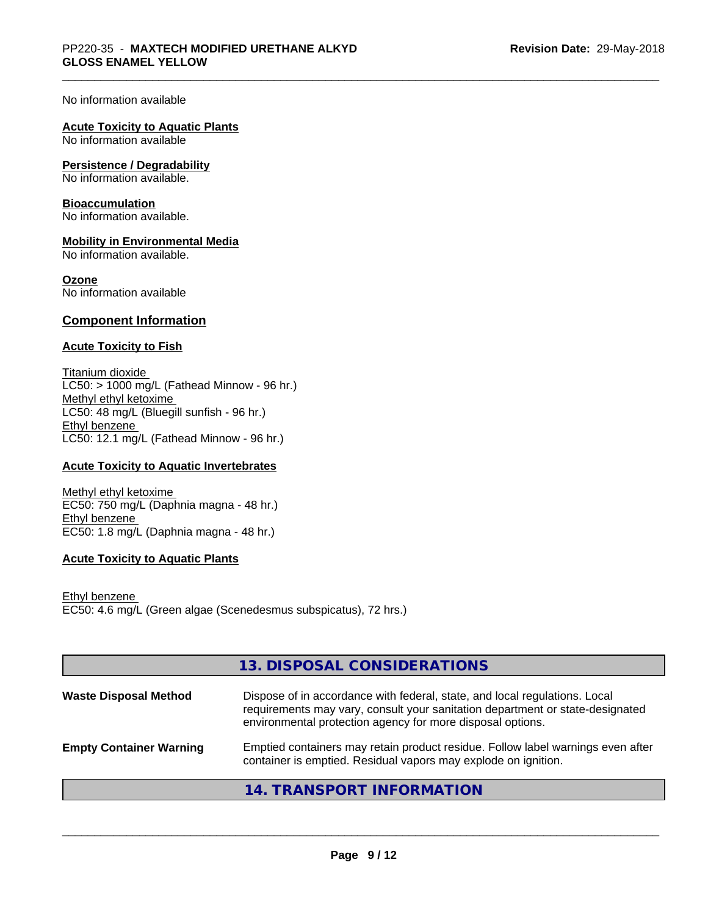No information available

# **Acute Toxicity to Aquatic Plants**

No information available

#### **Persistence / Degradability**

No information available.

#### **Bioaccumulation**

No information available.

## **Mobility in Environmental Media**

No information available.

#### **Ozone**

No information available

# **Component Information**

## **Acute Toxicity to Fish**

Titanium dioxide  $LC50:$  > 1000 mg/L (Fathead Minnow - 96 hr.) Methyl ethyl ketoxime LC50: 48 mg/L (Bluegill sunfish - 96 hr.) Ethyl benzene LC50: 12.1 mg/L (Fathead Minnow - 96 hr.)

# **Acute Toxicity to Aquatic Invertebrates**

Methyl ethyl ketoxime EC50: 750 mg/L (Daphnia magna - 48 hr.) Ethyl benzene EC50: 1.8 mg/L (Daphnia magna - 48 hr.)

# **Acute Toxicity to Aquatic Plants**

Ethyl benzene EC50: 4.6 mg/L (Green algae (Scenedesmus subspicatus), 72 hrs.)

|                                | 13. DISPOSAL CONSIDERATIONS                                                                                                                                                                                               |
|--------------------------------|---------------------------------------------------------------------------------------------------------------------------------------------------------------------------------------------------------------------------|
| <b>Waste Disposal Method</b>   | Dispose of in accordance with federal, state, and local regulations. Local<br>requirements may vary, consult your sanitation department or state-designated<br>environmental protection agency for more disposal options. |
| <b>Empty Container Warning</b> | Emptied containers may retain product residue. Follow label warnings even after<br>container is emptied. Residual vapors may explode on ignition.                                                                         |
|                                | 14. TRANSPORT INFORMATION                                                                                                                                                                                                 |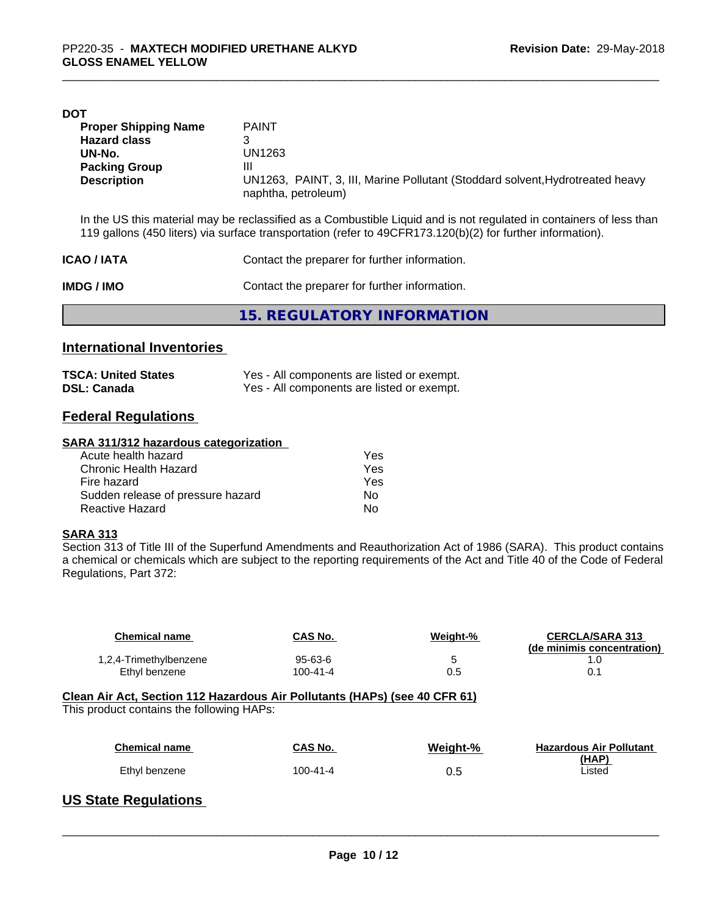| <b>DOT</b>                  |                                                                                                      |
|-----------------------------|------------------------------------------------------------------------------------------------------|
| <b>Proper Shipping Name</b> | <b>PAINT</b>                                                                                         |
| <b>Hazard class</b>         |                                                                                                      |
| UN-No.                      | UN1263                                                                                               |
| <b>Packing Group</b>        | Ш                                                                                                    |
| <b>Description</b>          | UN1263, PAINT, 3, III, Marine Pollutant (Stoddard solvent, Hydrotreated heavy<br>naphtha, petroleum) |
|                             |                                                                                                      |

In the US this material may be reclassified as a Combustible Liquid and is not regulated in containers of less than 119 gallons (450 liters) via surface transportation (refer to 49CFR173.120(b)(2) for further information).

| <b>ICAO/IATA</b>                                            | Contact the preparer for further information. |  |
|-------------------------------------------------------------|-----------------------------------------------|--|
| Contact the preparer for further information.<br>IMDG / IMO |                                               |  |
|                                                             | 15. REGULATORY INFORMATION                    |  |

# **International Inventories**

| <b>TSCA: United States</b> | Yes - All components are listed or exempt. |
|----------------------------|--------------------------------------------|
| <b>DSL: Canada</b>         | Yes - All components are listed or exempt. |

# **Federal Regulations**

#### **SARA 311/312 hazardous categorization**

| Acute health hazard               | Yes |
|-----------------------------------|-----|
| Chronic Health Hazard             | Yes |
| Fire hazard                       | Yes |
| Sudden release of pressure hazard | Nο  |
| Reactive Hazard                   | Nο  |

## **SARA 313**

Section 313 of Title III of the Superfund Amendments and Reauthorization Act of 1986 (SARA). This product contains a chemical or chemicals which are subject to the reporting requirements of the Act and Title 40 of the Code of Federal Regulations, Part 372:

| <b>Chemical name</b>                      | CAS No.        | Weight-% | <b>CERCLA/SARA 313</b><br>(de minimis concentration) |
|-------------------------------------------|----------------|----------|------------------------------------------------------|
| 1,2,4-Trimethylbenzene                    | 95-63-6        | 5        | 1.0                                                  |
| Ethyl benzene                             | $100 - 41 - 4$ | 0.5      | 0.1                                                  |
| This product contains the following HAPs: |                |          |                                                      |
| <b>Chemical name</b>                      | CAS No.        | Weight-% | <b>Hazardous Air Pollutant</b>                       |
| Ethyl benzene                             | $100 - 41 - 4$ | 0.5      | (HAP)<br>Listed                                      |
| $\mathbf{11} \bullet \bullet \mathbf{1}$  |                |          |                                                      |

# **US State Regulations**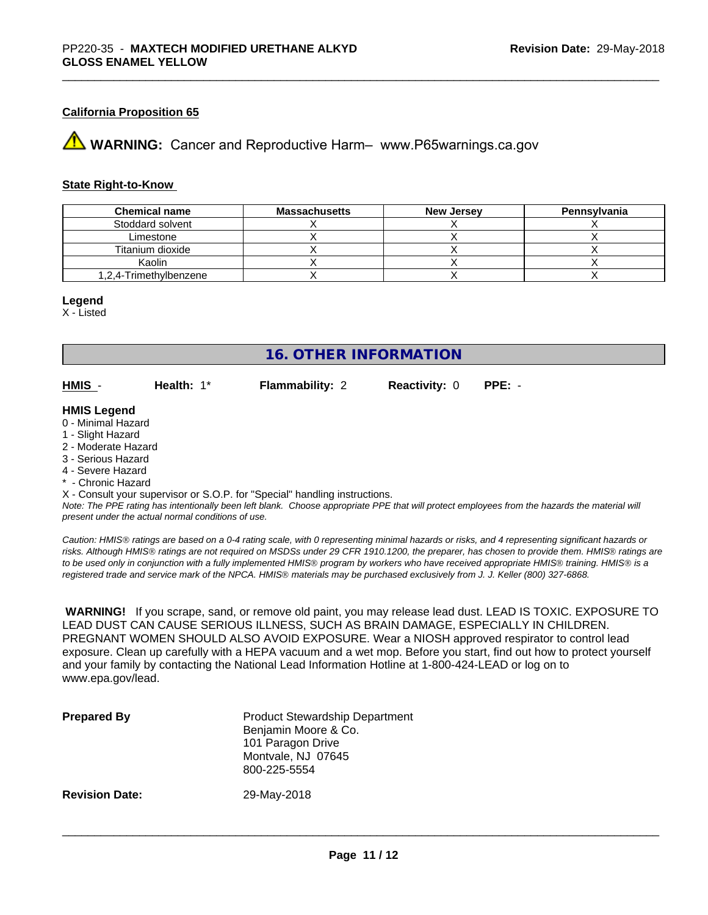# **California Proposition 65**

**AVIMARNING:** Cancer and Reproductive Harm– www.P65warnings.ca.gov

# **State Right-to-Know**

| <b>Chemical name</b>   | <b>Massachusetts</b> | New Jersey | Pennsylvania |
|------------------------|----------------------|------------|--------------|
| Stoddard solvent       |                      |            |              |
| Limestone              |                      |            |              |
| Titanium dioxide       |                      |            |              |
| Kaolin                 |                      |            |              |
| 1.2.4-Trimethylbenzene |                      |            |              |

#### **Legend**

X - Listed

# **16. OTHER INFORMATION**

**HMIS** - **Health:** 1\* **Flammability:** 2 **Reactivity:** 0 **PPE:** -

## **HMIS Legend**

- 0 Minimal Hazard
- 1 Slight Hazard
- 2 Moderate Hazard
- 3 Serious Hazard
- 4 Severe Hazard
- \* Chronic Hazard

X - Consult your supervisor or S.O.P. for "Special" handling instructions.

*Note: The PPE rating has intentionally been left blank. Choose appropriate PPE that will protect employees from the hazards the material will present under the actual normal conditions of use.*

*Caution: HMISÒ ratings are based on a 0-4 rating scale, with 0 representing minimal hazards or risks, and 4 representing significant hazards or risks. Although HMISÒ ratings are not required on MSDSs under 29 CFR 1910.1200, the preparer, has chosen to provide them. HMISÒ ratings are to be used only in conjunction with a fully implemented HMISÒ program by workers who have received appropriate HMISÒ training. HMISÒ is a registered trade and service mark of the NPCA. HMISÒ materials may be purchased exclusively from J. J. Keller (800) 327-6868.*

 **WARNING!** If you scrape, sand, or remove old paint, you may release lead dust. LEAD IS TOXIC. EXPOSURE TO LEAD DUST CAN CAUSE SERIOUS ILLNESS, SUCH AS BRAIN DAMAGE, ESPECIALLY IN CHILDREN. PREGNANT WOMEN SHOULD ALSO AVOID EXPOSURE.Wear a NIOSH approved respirator to control lead exposure. Clean up carefully with a HEPA vacuum and a wet mop. Before you start, find out how to protect yourself and your family by contacting the National Lead Information Hotline at 1-800-424-LEAD or log on to www.epa.gov/lead.

| <b>Prepared By</b>    | <b>Product Stewardship Department</b><br>Benjamin Moore & Co.<br>101 Paragon Drive<br>Montvale, NJ 07645<br>800-225-5554 |
|-----------------------|--------------------------------------------------------------------------------------------------------------------------|
| <b>Revision Date:</b> | 29-May-2018                                                                                                              |